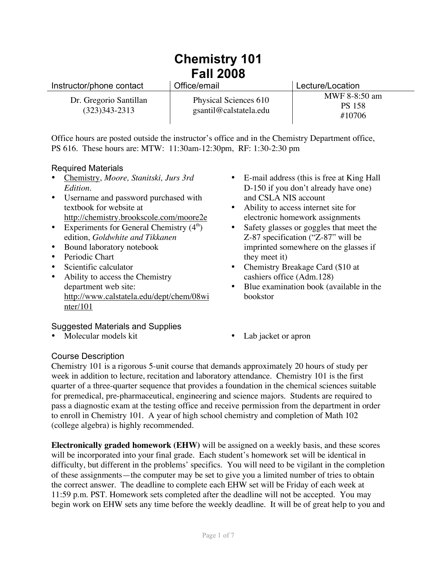# **Chemistry 101 Fall 2008**

| Instructor/phone contact                    | Office/email                                    | Lecture/Location                         |
|---------------------------------------------|-------------------------------------------------|------------------------------------------|
| Dr. Gregorio Santillan<br>$(323)343 - 2313$ | Physical Sciences 610<br>gsantil@calstatela.edu | MWF 8-8:50 am<br><b>PS 158</b><br>#10706 |

Office hours are posted outside the instructor's office and in the Chemistry Department office, PS 616. These hours are: MTW: 11:30am-12:30pm, RF: 1:30-2:30 pm

## Required Materials

- Chemistry, *Moore, Stanitski, Jurs 3rd Edition.*
- Username and password purchased with textbook for website at http://chemistry.brookscole.com/moore2e
- Experiments for General Chemistry  $(4<sup>th</sup>)$ edition, *Goldwhite and Tikkanen*
- Bound laboratory notebook
- Periodic Chart
- Scientific calculator
- Ability to access the Chemistry department web site: http://www.calstatela.edu/dept/chem/08wi nter/101

## Suggested Materials and Supplies

• Molecular models kit • Lab jacket or apron

- E-mail address (this is free at King Hall D-150 if you don't already have one) and CSLA NIS account
- Ability to access internet site for electronic homework assignments
- Safety glasses or goggles that meet the Z-87 specification ("Z-87" will be imprinted somewhere on the glasses if they meet it)
- Chemistry Breakage Card (\$10 at cashiers office (Adm.128)
- Blue examination book (available in the bookstor
- 

# Course Description

Chemistry 101 is a rigorous 5-unit course that demands approximately 20 hours of study per week in addition to lecture, recitation and laboratory attendance. Chemistry 101 is the first quarter of a three-quarter sequence that provides a foundation in the chemical sciences suitable for premedical, pre-pharmaceutical, engineering and science majors. Students are required to pass a diagnostic exam at the testing office and receive permission from the department in order to enroll in Chemistry 101. A year of high school chemistry and completion of Math 102 (college algebra) is highly recommended.

**Electronically graded homework (EHW)** will be assigned on a weekly basis, and these scores will be incorporated into your final grade. Each student's homework set will be identical in difficulty, but different in the problems' specifics. You will need to be vigilant in the completion of these assignments—the computer may be set to give you a limited number of tries to obtain the correct answer. The deadline to complete each EHW set will be Friday of each week at 11:59 p.m. PST. Homework sets completed after the deadline will not be accepted. You may begin work on EHW sets any time before the weekly deadline. It will be of great help to you and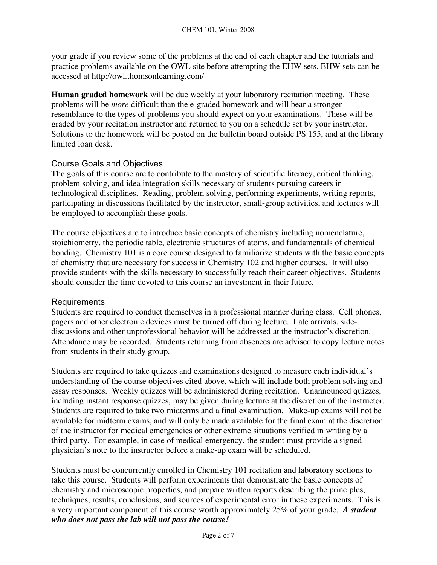your grade if you review some of the problems at the end of each chapter and the tutorials and practice problems available on the OWL site before attempting the EHW sets. EHW sets can be accessed at http://owl.thomsonlearning.com/

**Human graded homework** will be due weekly at your laboratory recitation meeting. These problems will be *more* difficult than the e-graded homework and will bear a stronger resemblance to the types of problems you should expect on your examinations. These will be graded by your recitation instructor and returned to you on a schedule set by your instructor. Solutions to the homework will be posted on the bulletin board outside PS 155, and at the library limited loan desk.

## Course Goals and Objectives

The goals of this course are to contribute to the mastery of scientific literacy, critical thinking, problem solving, and idea integration skills necessary of students pursuing careers in technological disciplines. Reading, problem solving, performing experiments, writing reports, participating in discussions facilitated by the instructor, small-group activities, and lectures will be employed to accomplish these goals.

The course objectives are to introduce basic concepts of chemistry including nomenclature, stoichiometry, the periodic table, electronic structures of atoms, and fundamentals of chemical bonding. Chemistry 101 is a core course designed to familiarize students with the basic concepts of chemistry that are necessary for success in Chemistry 102 and higher courses. It will also provide students with the skills necessary to successfully reach their career objectives. Students should consider the time devoted to this course an investment in their future.

## Requirements

Students are required to conduct themselves in a professional manner during class. Cell phones, pagers and other electronic devices must be turned off during lecture. Late arrivals, sidediscussions and other unprofessional behavior will be addressed at the instructor's discretion. Attendance may be recorded. Students returning from absences are advised to copy lecture notes from students in their study group.

Students are required to take quizzes and examinations designed to measure each individual's understanding of the course objectives cited above, which will include both problem solving and essay responses. Weekly quizzes will be administered during recitation. Unannounced quizzes, including instant response quizzes, may be given during lecture at the discretion of the instructor. Students are required to take two midterms and a final examination. Make-up exams will not be available for midterm exams, and will only be made available for the final exam at the discretion of the instructor for medical emergencies or other extreme situations verified in writing by a third party. For example, in case of medical emergency, the student must provide a signed physician's note to the instructor before a make-up exam will be scheduled.

Students must be concurrently enrolled in Chemistry 101 recitation and laboratory sections to take this course. Students will perform experiments that demonstrate the basic concepts of chemistry and microscopic properties, and prepare written reports describing the principles, techniques, results, conclusions, and sources of experimental error in these experiments. This is a very important component of this course worth approximately 25% of your grade. *A student who does not pass the lab will not pass the course!*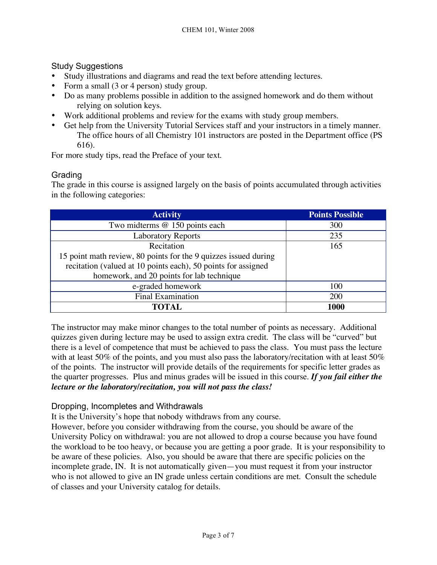## Study Suggestions

- Study illustrations and diagrams and read the text before attending lectures.
- Form a small (3 or 4 person) study group.
- Do as many problems possible in addition to the assigned homework and do them without relying on solution keys.
- Work additional problems and review for the exams with study group members.
- Get help from the University Tutorial Services staff and your instructors in a timely manner. The office hours of all Chemistry 101 instructors are posted in the Department office (PS 616).

For more study tips, read the Preface of your text.

# **Grading**

The grade in this course is assigned largely on the basis of points accumulated through activities in the following categories:

| <b>Activity</b>                                                 | <b>Points Possible</b> |
|-----------------------------------------------------------------|------------------------|
| Two midterms @ 150 points each                                  | 300                    |
| <b>Laboratory Reports</b>                                       | 235                    |
| Recitation                                                      | 165                    |
| 15 point math review, 80 points for the 9 quizzes issued during |                        |
| recitation (valued at 10 points each), 50 points for assigned   |                        |
| homework, and 20 points for lab technique                       |                        |
| e-graded homework                                               | 100                    |
| <b>Final Examination</b>                                        | 200                    |
| TOTAL                                                           | 1000                   |

The instructor may make minor changes to the total number of points as necessary. Additional quizzes given during lecture may be used to assign extra credit. The class will be "curved" but there is a level of competence that must be achieved to pass the class. You must pass the lecture with at least 50% of the points, and you must also pass the laboratory/recitation with at least 50% of the points. The instructor will provide details of the requirements for specific letter grades as the quarter progresses. Plus and minus grades will be issued in this course. *If you fail either the lecture or the laboratory/recitation, you will not pass the class!*

## Dropping, Incompletes and Withdrawals

It is the University's hope that nobody withdraws from any course.

However, before you consider withdrawing from the course, you should be aware of the University Policy on withdrawal: you are not allowed to drop a course because you have found the workload to be too heavy, or because you are getting a poor grade. It is your responsibility to be aware of these policies. Also, you should be aware that there are specific policies on the incomplete grade, IN. It is not automatically given—you must request it from your instructor who is not allowed to give an IN grade unless certain conditions are met. Consult the schedule of classes and your University catalog for details.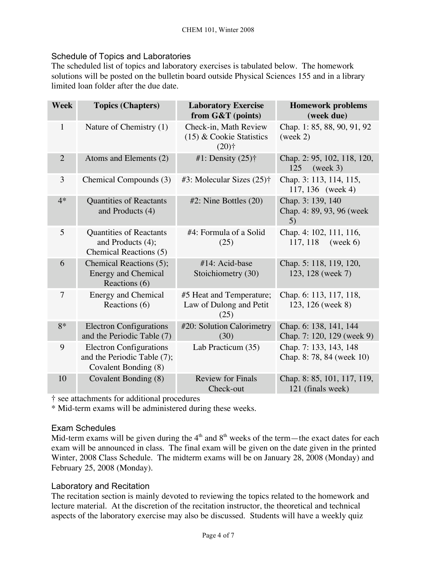## Schedule of Topics and Laboratories

The scheduled list of topics and laboratory exercises is tabulated below. The homework solutions will be posted on the bulletin board outside Physical Sciences 155 and in a library limited loan folder after the due date.

| <b>Week</b>    | <b>Topics (Chapters)</b>                                                              | <b>Laboratory Exercise</b><br>from G&T (points)                            | <b>Homework problems</b><br>(week due)                |
|----------------|---------------------------------------------------------------------------------------|----------------------------------------------------------------------------|-------------------------------------------------------|
| $\mathbf{1}$   | Nature of Chemistry (1)                                                               | Check-in, Math Review<br>$(15)$ & Cookie Statistics<br>$(20)$ <sup>+</sup> | Chap. 1: 85, 88, 90, 91, 92<br>(week 2)               |
| $\overline{2}$ | Atoms and Elements (2)                                                                | #1: Density $(25)$ †                                                       | Chap. 2: 95, 102, 118, 120,<br>125<br>(week 3)        |
| 3              | Chemical Compounds (3)                                                                | #3: Molecular Sizes $(25)$ †                                               | Chap. 3: 113, 114, 115,<br>117, 136 (week 4)          |
| $4*$           | <b>Quantities of Reactants</b><br>and Products (4)                                    | $#2$ : Nine Bottles $(20)$                                                 | Chap. 3: 139, 140<br>Chap. 4: 89, 93, 96 (week)<br>5) |
| 5              | <b>Quantities of Reactants</b><br>and Products (4);<br>Chemical Reactions (5)         | #4: Formula of a Solid<br>(25)                                             | Chap. 4: 102, 111, 116,<br>117, 118<br>(week 6)       |
| 6              | Chemical Reactions (5);<br><b>Energy and Chemical</b><br>Reactions (6)                | #14: Acid-base<br>Stoichiometry (30)                                       | Chap. 5: 118, 119, 120,<br>123, 128 (week 7)          |
| 7              | <b>Energy and Chemical</b><br>Reactions (6)                                           | #5 Heat and Temperature;<br>Law of Dulong and Petit<br>(25)                | Chap. 6: 113, 117, 118,<br>123, 126 (week 8)          |
| $8*$           | <b>Electron Configurations</b><br>and the Periodic Table (7)                          | #20: Solution Calorimetry<br>(30)                                          | Chap. 6: 138, 141, 144<br>Chap. 7: 120, 129 (week 9)  |
| 9              | <b>Electron Configurations</b><br>and the Periodic Table (7);<br>Covalent Bonding (8) | Lab Practicum (35)                                                         | Chap. 7: 133, 143, 148<br>Chap. 8: 78, 84 (week 10)   |
| 10             | Covalent Bonding (8)                                                                  | <b>Review for Finals</b><br>Check-out                                      | Chap. 8: 85, 101, 117, 119,<br>121 (finals week)      |

† see attachments for additional procedures

\* Mid-term exams will be administered during these weeks.

#### Exam Schedules

Mid-term exams will be given during the  $4<sup>th</sup>$  and  $8<sup>th</sup>$  weeks of the term—the exact dates for each exam will be announced in class. The final exam will be given on the date given in the printed Winter, 2008 Class Schedule. The midterm exams will be on January 28, 2008 (Monday) and February 25, 2008 (Monday).

## Laboratory and Recitation

The recitation section is mainly devoted to reviewing the topics related to the homework and lecture material. At the discretion of the recitation instructor, the theoretical and technical aspects of the laboratory exercise may also be discussed. Students will have a weekly quiz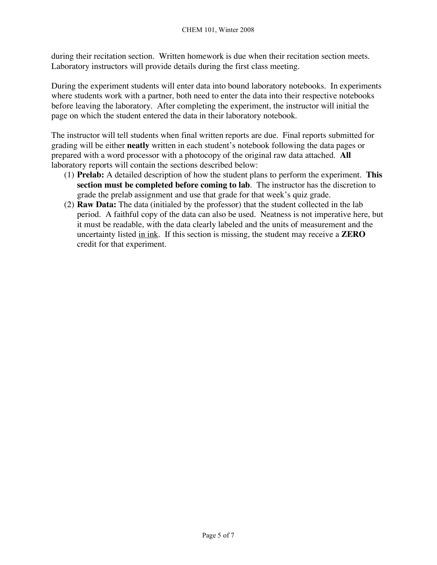during their recitation section. Written homework is due when their recitation section meets. Laboratory instructors will provide details during the first class meeting.

During the experiment students will enter data into bound laboratory notebooks. In experiments where students work with a partner, both need to enter the data into their respective notebooks before leaving the laboratory. After completing the experiment, the instructor will initial the page on which the student entered the data in their laboratory notebook.

The instructor will tell students when final written reports are due. Final reports submitted for grading will be either **neatly** written in each student's notebook following the data pages or prepared with a word processor with a photocopy of the original raw data attached. **All** laboratory reports will contain the sections described below:

- (1) **Prelab:** A detailed description of how the student plans to perform the experiment. **This section must be completed before coming to lab**. The instructor has the discretion to grade the prelab assignment and use that grade for that week's quiz grade.
- (2) **Raw Data:** The data (initialed by the professor) that the student collected in the lab period. A faithful copy of the data can also be used. Neatness is not imperative here, but it must be readable, with the data clearly labeled and the units of measurement and the uncertainty listed in ink. If this section is missing, the student may receive a **ZERO** credit for that experiment.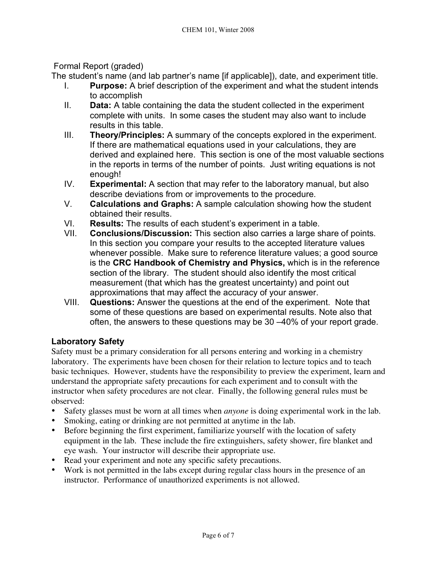# Formal Report (graded)

The student's name (and lab partner's name [if applicable]), date, and experiment title.

- I. **Purpose:** A brief description of the experiment and what the student intends to accomplish
- II. **Data:** A table containing the data the student collected in the experiment complete with units. In some cases the student may also want to include results in this table.
- III. **Theory/Principles:** A summary of the concepts explored in the experiment. If there are mathematical equations used in your calculations, they are derived and explained here. This section is one of the most valuable sections in the reports in terms of the number of points. Just writing equations is not enough!
- IV. **Experimental:** A section that may refer to the laboratory manual, but also describe deviations from or improvements to the procedure.
- V. **Calculations and Graphs:** A sample calculation showing how the student obtained their results.
- VI. **Results:** The results of each student's experiment in a table.
- VII. **Conclusions/Discussion:** This section also carries a large share of points. In this section you compare your results to the accepted literature values whenever possible. Make sure to reference literature values; a good source is the **CRC Handbook of Chemistry and Physics,** which is in the reference section of the library. The student should also identify the most critical measurement (that which has the greatest uncertainty) and point out approximations that may affect the accuracy of your answer.
- VIII. **Questions:** Answer the questions at the end of the experiment. Note that some of these questions are based on experimental results. Note also that often, the answers to these questions may be 30 –40% of your report grade.

# **Laboratory Safety**

Safety must be a primary consideration for all persons entering and working in a chemistry laboratory. The experiments have been chosen for their relation to lecture topics and to teach basic techniques. However, students have the responsibility to preview the experiment, learn and understand the appropriate safety precautions for each experiment and to consult with the instructor when safety procedures are not clear. Finally, the following general rules must be observed:

- Safety glasses must be worn at all times when *anyone* is doing experimental work in the lab.
- Smoking, eating or drinking are not permitted at anytime in the lab.
- Before beginning the first experiment, familiarize yourself with the location of safety equipment in the lab. These include the fire extinguishers, safety shower, fire blanket and eye wash. Your instructor will describe their appropriate use.
- Read your experiment and note any specific safety precautions.
- Work is not permitted in the labs except during regular class hours in the presence of an instructor. Performance of unauthorized experiments is not allowed.